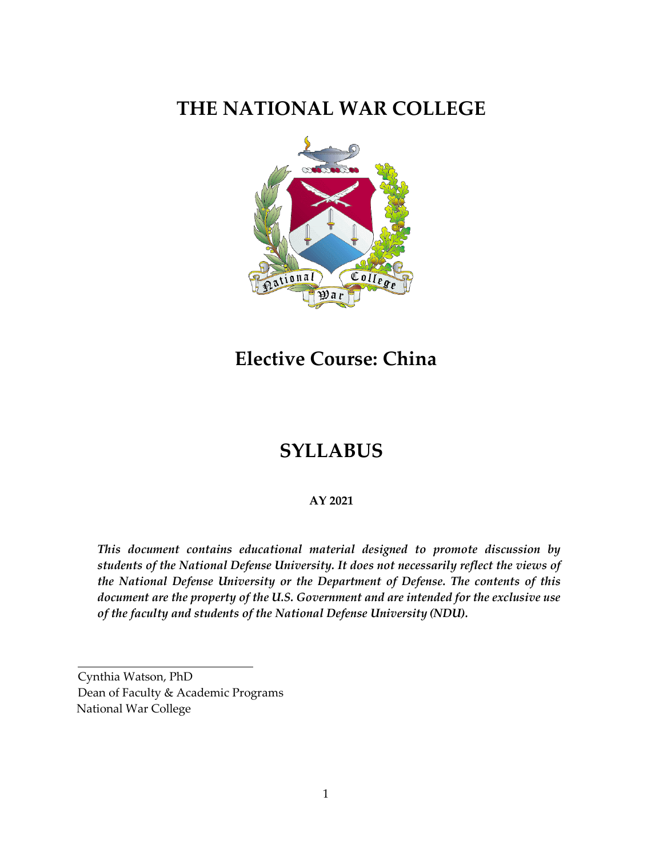# **THE NATIONAL WAR COLLEGE**



**Elective Course: China**

# **SYLLABUS**

#### **AY 2021**

*This document contains educational material designed to promote discussion by students of the National Defense University. It does not necessarily reflect the views of the National Defense University or the Department of Defense. The contents of this document are the property of the U.S. Government and are intended for the exclusive use of the faculty and students of the National Defense University (NDU).*

Cynthia Watson, PhD Dean of Faculty & Academic Programs National War College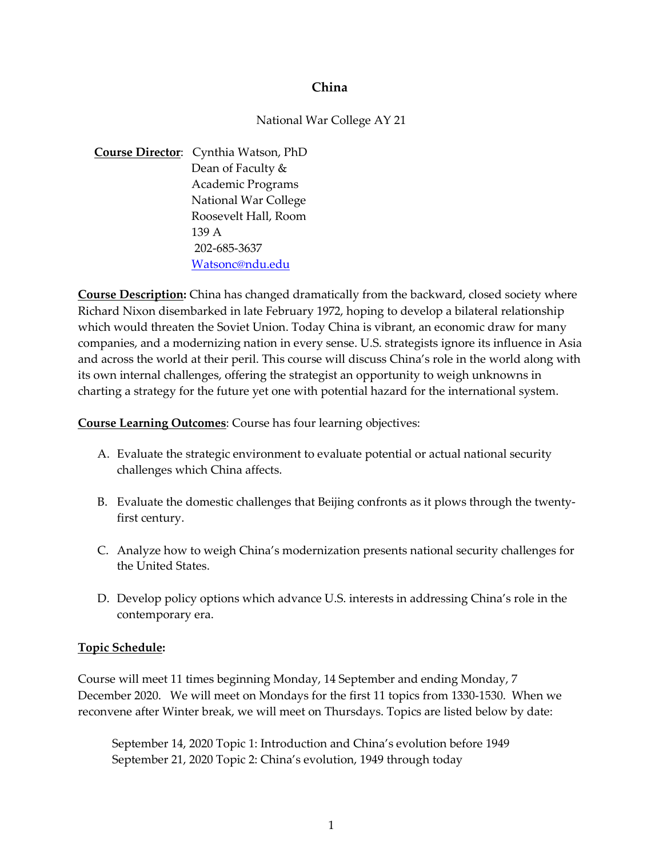#### **China**

#### National War College AY 21

**Course Director**: Cynthia Watson, PhD Dean of Faculty & Academic Programs National War College Roosevelt Hall, Room 139 A 202-685-3637 [Watsonc@ndu.edu](mailto:Watsonc@ndu.edu)

**Course Description:** China has changed dramatically from the backward, closed society where Richard Nixon disembarked in late February 1972, hoping to develop a bilateral relationship which would threaten the Soviet Union. Today China is vibrant, an economic draw for many companies, and a modernizing nation in every sense. U.S. strategists ignore its influence in Asia and across the world at their peril. This course will discuss China's role in the world along with its own internal challenges, offering the strategist an opportunity to weigh unknowns in charting a strategy for the future yet one with potential hazard for the international system.

**Course Learning Outcomes**: Course has four learning objectives:

- A. Evaluate the strategic environment to evaluate potential or actual national security challenges which China affects.
- B. Evaluate the domestic challenges that Beijing confronts as it plows through the twentyfirst century.
- C. Analyze how to weigh China's modernization presents national security challenges for the United States.
- D. Develop policy options which advance U.S. interests in addressing China's role in the contemporary era.

#### **Topic Schedule:**

Course will meet 11 times beginning Monday, 14 September and ending Monday, 7 December 2020. We will meet on Mondays for the first 11 topics from 1330-1530. When we reconvene after Winter break, we will meet on Thursdays. Topics are listed below by date:

September 14, 2020 Topic 1: Introduction and China's evolution before 1949 September 21, 2020 Topic 2: China's evolution, 1949 through today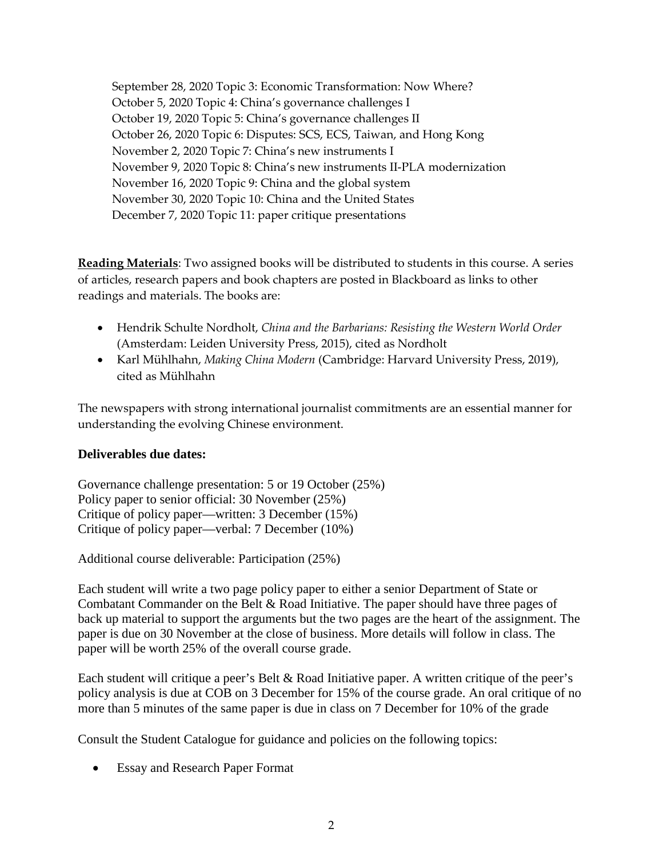September 28, 2020 Topic 3: Economic Transformation: Now Where? October 5, 2020 Topic 4: China's governance challenges I October 19, 2020 Topic 5: China's governance challenges II October 26, 2020 Topic 6: Disputes: SCS, ECS, Taiwan, and Hong Kong November 2, 2020 Topic 7: China's new instruments I November 9, 2020 Topic 8: China's new instruments II-PLA modernization November 16, 2020 Topic 9: China and the global system November 30, 2020 Topic 10: China and the United States December 7, 2020 Topic 11: paper critique presentations

**Reading Materials**: Two assigned books will be distributed to students in this course. A series of articles, research papers and book chapters are posted in Blackboard as links to other readings and materials. The books are:

- Hendrik Schulte Nordholt, *China and the Barbarians: Resisting the Western World Order* (Amsterdam: Leiden University Press, 2015), cited as Nordholt
- Karl Mühlhahn, *Making China Modern* (Cambridge: Harvard University Press, 2019), cited as Mühlhahn

The newspapers with strong international journalist commitments are an essential manner for understanding the evolving Chinese environment.

#### **Deliverables due dates:**

Governance challenge presentation: 5 or 19 October (25%) Policy paper to senior official: 30 November (25%) Critique of policy paper—written: 3 December (15%) Critique of policy paper—verbal: 7 December (10%)

Additional course deliverable: Participation (25%)

Each student will write a two page policy paper to either a senior Department of State or Combatant Commander on the Belt & Road Initiative. The paper should have three pages of back up material to support the arguments but the two pages are the heart of the assignment. The paper is due on 30 November at the close of business. More details will follow in class. The paper will be worth 25% of the overall course grade.

Each student will critique a peer's Belt & Road Initiative paper. A written critique of the peer's policy analysis is due at COB on 3 December for 15% of the course grade. An oral critique of no more than 5 minutes of the same paper is due in class on 7 December for 10% of the grade

Consult the Student Catalogue for guidance and policies on the following topics:

• Essay and Research Paper Format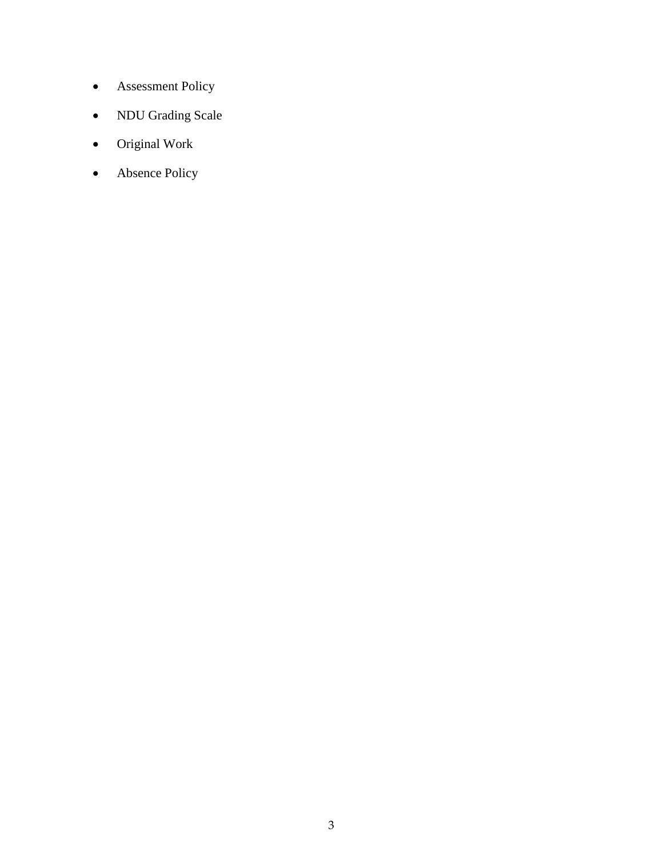- Assessment Policy
- NDU Grading Scale
- Original Work
- Absence Policy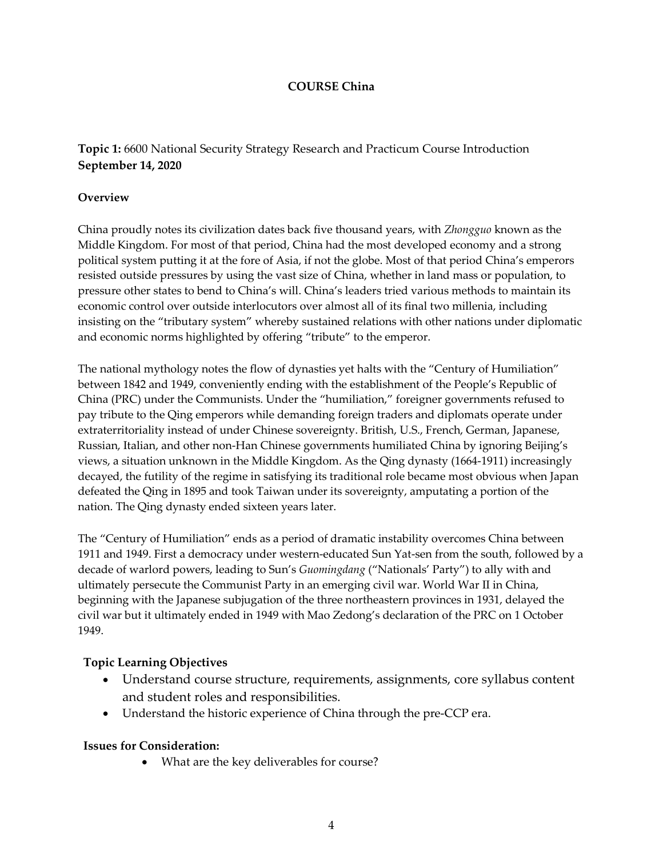#### **COURSE China**

**Topic 1:** 6600 National Security Strategy Research and Practicum Course Introduction **September 14, 2020**

#### **Overview**

China proudly notes its civilization dates back five thousand years, with *Zhongguo* known as the Middle Kingdom. For most of that period, China had the most developed economy and a strong political system putting it at the fore of Asia, if not the globe. Most of that period China's emperors resisted outside pressures by using the vast size of China, whether in land mass or population, to pressure other states to bend to China's will. China's leaders tried various methods to maintain its economic control over outside interlocutors over almost all of its final two millenia, including insisting on the "tributary system" whereby sustained relations with other nations under diplomatic and economic norms highlighted by offering "tribute" to the emperor.

The national mythology notes the flow of dynasties yet halts with the "Century of Humiliation" between 1842 and 1949, conveniently ending with the establishment of the People's Republic of China (PRC) under the Communists. Under the "humiliation," foreigner governments refused to pay tribute to the Qing emperors while demanding foreign traders and diplomats operate under extraterritoriality instead of under Chinese sovereignty. British, U.S., French, German, Japanese, Russian, Italian, and other non-Han Chinese governments humiliated China by ignoring Beijing's views, a situation unknown in the Middle Kingdom. As the Qing dynasty (1664-1911) increasingly decayed, the futility of the regime in satisfying its traditional role became most obvious when Japan defeated the Qing in 1895 and took Taiwan under its sovereignty, amputating a portion of the nation. The Qing dynasty ended sixteen years later.

The "Century of Humiliation" ends as a period of dramatic instability overcomes China between 1911 and 1949. First a democracy under western-educated Sun Yat-sen from the south, followed by a decade of warlord powers, leading to Sun's *Guomingdang* ("Nationals' Party") to ally with and ultimately persecute the Communist Party in an emerging civil war. World War II in China, beginning with the Japanese subjugation of the three northeastern provinces in 1931, delayed the civil war but it ultimately ended in 1949 with Mao Zedong's declaration of the PRC on 1 October 1949.

#### **Topic Learning Objectives**

- Understand course structure, requirements, assignments, core syllabus content and student roles and responsibilities.
- Understand the historic experience of China through the pre-CCP era.

#### **Issues for Consideration:**

• What are the key deliverables for course?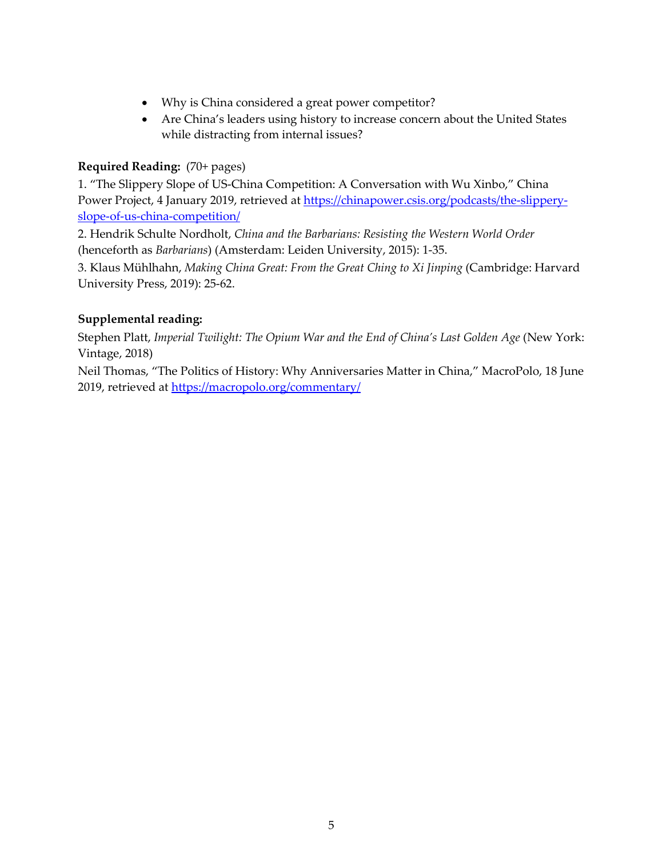- Why is China considered a great power competitor?
- Are China's leaders using history to increase concern about the United States while distracting from internal issues?

#### **Required Reading:** (70+ pages)

1. "The Slippery Slope of US-China Competition: A Conversation with Wu Xinbo," China Power Project, 4 January 2019, retrieved at [https://chinapower.csis.org/podcasts/the-slippery](https://chinapower.csis.org/podcasts/the-slippery-slope-of-us-china-competition/)[slope-of-us-china-competition/](https://chinapower.csis.org/podcasts/the-slippery-slope-of-us-china-competition/)

2. Hendrik Schulte Nordholt, *China and the Barbarians: Resisting the Western World Order* (henceforth as *Barbarians*) (Amsterdam: Leiden University, 2015): 1-35.

3. Klaus Mühlhahn, *Making China Great: From the Great Ching to Xi Jinping* (Cambridge: Harvard University Press, 2019): 25-62.

### **Supplemental reading:**

Stephen Platt, *Imperial Twilight: The Opium War and the End of China's Last Golden Age* (New York: Vintage, 2018)

Neil Thomas, "The Politics of History: Why Anniversaries Matter in China," MacroPolo, 18 June 2019, retrieved at<https://macropolo.org/commentary/>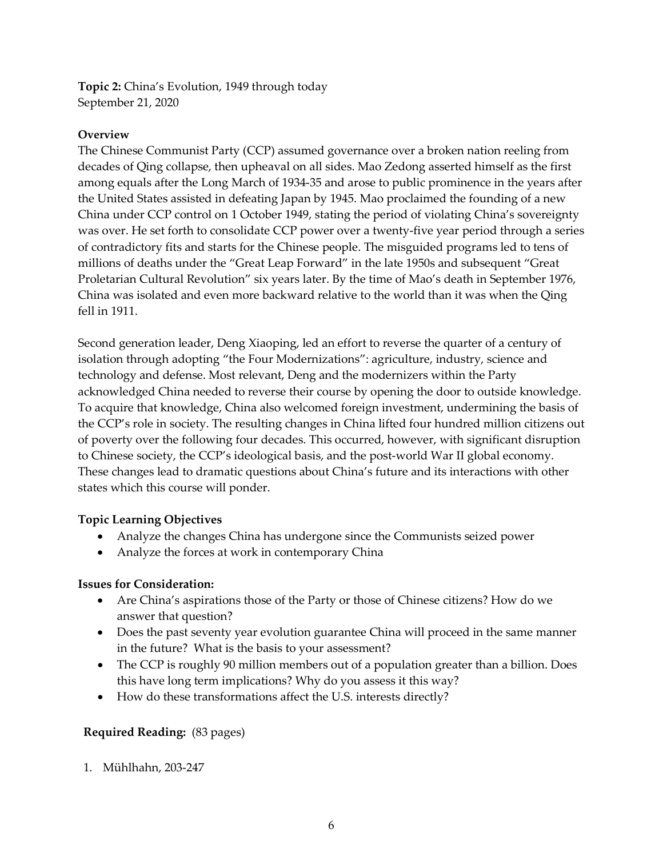**Topic 2:** China's Evolution, 1949 through today September 21, 2020

#### **Overview**

The Chinese Communist Party (CCP) assumed governance over a broken nation reeling from decades of Qing collapse, then upheaval on all sides. Mao Zedong asserted himself as the first among equals after the Long March of 1934-35 and arose to public prominence in the years after the United States assisted in defeating Japan by 1945. Mao proclaimed the founding of a new China under CCP control on 1 October 1949, stating the period of violating China's sovereignty was over. He set forth to consolidate CCP power over a twenty-five year period through a series of contradictory fits and starts for the Chinese people. The misguided programs led to tens of millions of deaths under the "Great Leap Forward" in the late 1950s and subsequent "Great Proletarian Cultural Revolution" six years later. By the time of Mao's death in September 1976, China was isolated and even more backward relative to the world than it was when the Qing fell in 1911.

Second generation leader, Deng Xiaoping, led an effort to reverse the quarter of a century of isolation through adopting "the Four Modernizations": agriculture, industry, science and technology and defense. Most relevant, Deng and the modernizers within the Party acknowledged China needed to reverse their course by opening the door to outside knowledge. To acquire that knowledge, China also welcomed foreign investment, undermining the basis of the CCP's role in society. The resulting changes in China lifted four hundred million citizens out of poverty over the following four decades. This occurred, however, with significant disruption to Chinese society, the CCP's ideological basis, and the post-world War II global economy. These changes lead to dramatic questions about China's future and its interactions with other states which this course will ponder.

#### **Topic Learning Objectives**

- Analyze the changes China has undergone since the Communists seized power
- Analyze the forces at work in contemporary China

#### **Issues for Consideration:**

- Are China's aspirations those of the Party or those of Chinese citizens? How do we answer that question?
- Does the past seventy year evolution guarantee China will proceed in the same manner in the future? What is the basis to your assessment?
- The CCP is roughly 90 million members out of a population greater than a billion. Does this have long term implications? Why do you assess it this way?
- How do these transformations affect the U.S. interests directly?

#### **Required Reading:** (83 pages)

1. Mühlhahn, 203-247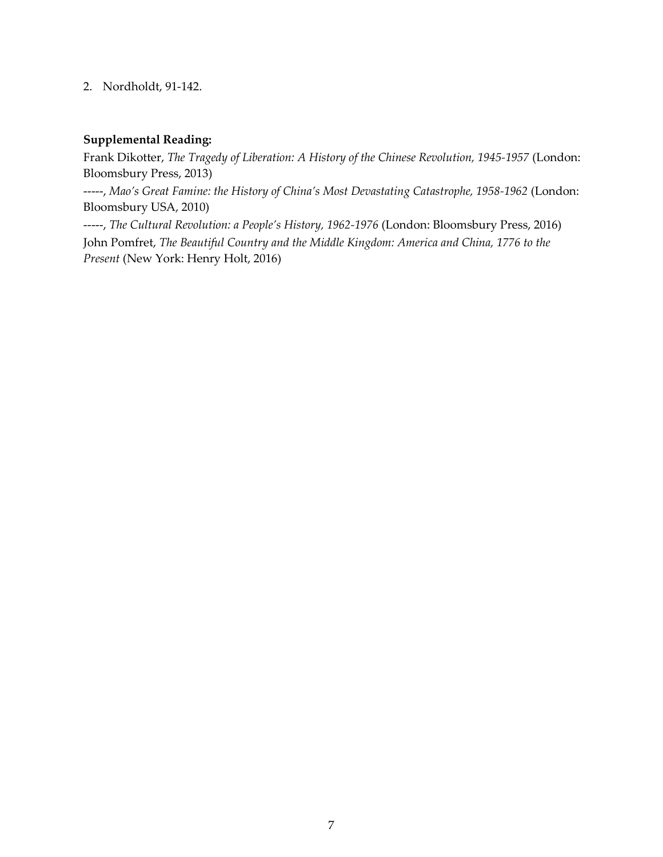#### 2. Nordholdt, 91-142.

#### **Supplemental Reading:**

Frank Dikotter, *The Tragedy of Liberation: A History of the Chinese Revolution, 1945-1957* (London: Bloomsbury Press, 2013)

-----, *Mao's Great Famine: the History of China's Most Devastating Catastrophe, 1958-1962* (London: Bloomsbury USA, 2010)

-----, *The Cultural Revolution: a People's History, 1962-1976* (London: Bloomsbury Press, 2016) John Pomfret, *The Beautiful Country and the Middle Kingdom: America and China, 1776 to the Present* (New York: Henry Holt, 2016)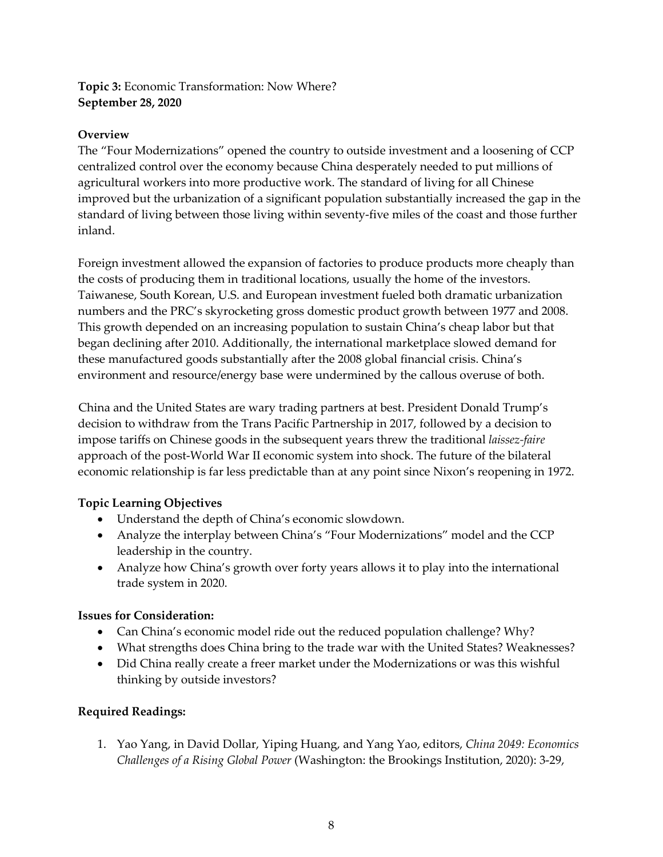### **Topic 3:** Economic Transformation: Now Where? **September 28, 2020**

#### **Overview**

The "Four Modernizations" opened the country to outside investment and a loosening of CCP centralized control over the economy because China desperately needed to put millions of agricultural workers into more productive work. The standard of living for all Chinese improved but the urbanization of a significant population substantially increased the gap in the standard of living between those living within seventy-five miles of the coast and those further inland.

Foreign investment allowed the expansion of factories to produce products more cheaply than the costs of producing them in traditional locations, usually the home of the investors. Taiwanese, South Korean, U.S. and European investment fueled both dramatic urbanization numbers and the PRC's skyrocketing gross domestic product growth between 1977 and 2008. This growth depended on an increasing population to sustain China's cheap labor but that began declining after 2010. Additionally, the international marketplace slowed demand for these manufactured goods substantially after the 2008 global financial crisis. China's environment and resource/energy base were undermined by the callous overuse of both.

 China and the United States are wary trading partners at best. President Donald Trump's decision to withdraw from the Trans Pacific Partnership in 2017, followed by a decision to impose tariffs on Chinese goods in the subsequent years threw the traditional *laissez-faire*  approach of the post-World War II economic system into shock. The future of the bilateral economic relationship is far less predictable than at any point since Nixon's reopening in 1972.

## **Topic Learning Objectives**

- Understand the depth of China's economic slowdown.
- Analyze the interplay between China's "Four Modernizations" model and the CCP leadership in the country.
- Analyze how China's growth over forty years allows it to play into the international trade system in 2020.

## **Issues for Consideration:**

- Can China's economic model ride out the reduced population challenge? Why?
- What strengths does China bring to the trade war with the United States? Weaknesses?
- Did China really create a freer market under the Modernizations or was this wishful thinking by outside investors?

## **Required Readings:**

1. Yao Yang, in David Dollar, Yiping Huang, and Yang Yao, editors, *China 2049: Economics Challenges of a Rising Global Power* (Washington: the Brookings Institution, 2020): 3-29,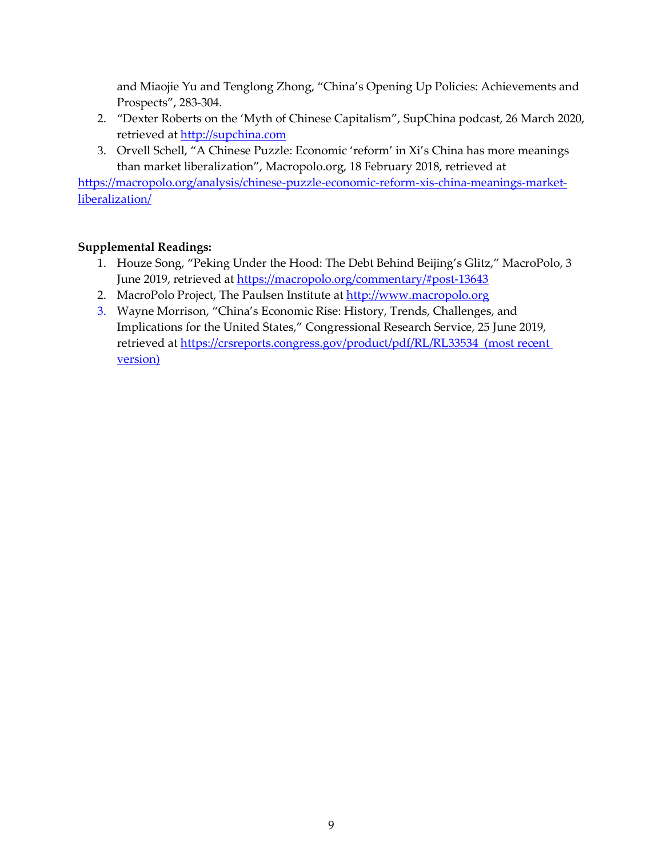and Miaojie Yu and Tenglong Zhong, "China's Opening Up Policies: Achievements and Prospects", 283-304.

- 2. "Dexter Roberts on the 'Myth of Chinese Capitalism", SupChina podcast, 26 March 2020, retrieved at [http://supchina.com](http://supchina.com/)
- 3. Orvell Schell, "A Chinese Puzzle: Economic 'reform' in Xi's China has more meanings than market liberalization", Macropolo.org, 18 February 2018, retrieved at

[https://macropolo.org/analysis/chinese-puzzle-economic-reform-xis-china-meanings-market](https://macropolo.org/analysis/chinese-puzzle-economic-reform-xis-china-meanings-market-liberalization/)[liberalization/](https://macropolo.org/analysis/chinese-puzzle-economic-reform-xis-china-meanings-market-liberalization/)

## **Supplemental Readings:**

- 1. Houze Song, "Peking Under the Hood: The Debt Behind Beijing's Glitz," MacroPolo, 3 June 2019, retrieved at<https://macropolo.org/commentary/#post-13643>
- 2. MacroPolo Project, The Paulsen Institute at http://www.macropolo.org
- 3. Wayne Morrison, "China's Economic Rise: History, Trends, Challenges, and Implications for the United States," Congressional Research Service, 25 June 2019, retrieved at https://crsreports.congress.gov/product/pdf/RL/RL33534 (most recent version)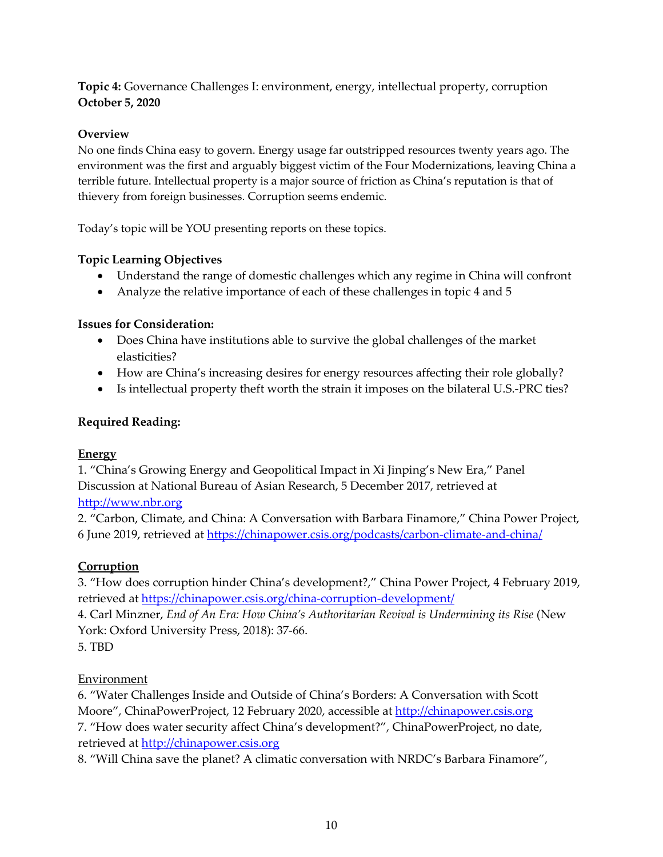#### **Topic 4:** Governance Challenges I: environment, energy, intellectual property, corruption **October 5, 2020**

### **Overview**

No one finds China easy to govern. Energy usage far outstripped resources twenty years ago. The environment was the first and arguably biggest victim of the Four Modernizations, leaving China a terrible future. Intellectual property is a major source of friction as China's reputation is that of thievery from foreign businesses. Corruption seems endemic.

Today's topic will be YOU presenting reports on these topics.

### **Topic Learning Objectives**

- Understand the range of domestic challenges which any regime in China will confront
- Analyze the relative importance of each of these challenges in topic 4 and 5

#### **Issues for Consideration:**

- Does China have institutions able to survive the global challenges of the market elasticities?
- How are China's increasing desires for energy resources affecting their role globally?
- Is intellectual property theft worth the strain it imposes on the bilateral U.S.-PRC ties?

### **Required Reading:**

#### **Energy**

1. "China's Growing Energy and Geopolitical Impact in Xi Jinping's New Era," Panel Discussion at National Bureau of Asian Research, 5 December 2017, retrieved at [http://www.nbr.org](http://www.nbr.org/)

## 2. "Carbon, Climate, and China: A Conversation with Barbara Finamore," China Power Project, 6 June 2019, retrieved at<https://chinapower.csis.org/podcasts/carbon-climate-and-china/>

# **Corruption**

3. "How does corruption hinder China's development?," China Power Project, 4 February 2019, retrieved at<https://chinapower.csis.org/china-corruption-development/>

4. Carl Minzner, *End of An Era: How China's Authoritarian Revival is Undermining its Rise* (New York: Oxford University Press, 2018): 37-66.

5. TBD

#### Environment

6. "Water Challenges Inside and Outside of China's Borders: A Conversation with Scott Moore", ChinaPowerProject, 12 February 2020, accessible at [http://chinapower.csis.org](http://chinapower.csis.org/)  7. "How does water security affect China's development?", ChinaPowerProject, no date, retrieved at [http://chinapower.csis.org](http://chinapower.csis.org/)

8. "Will China save the planet? A climatic conversation with NRDC's Barbara Finamore",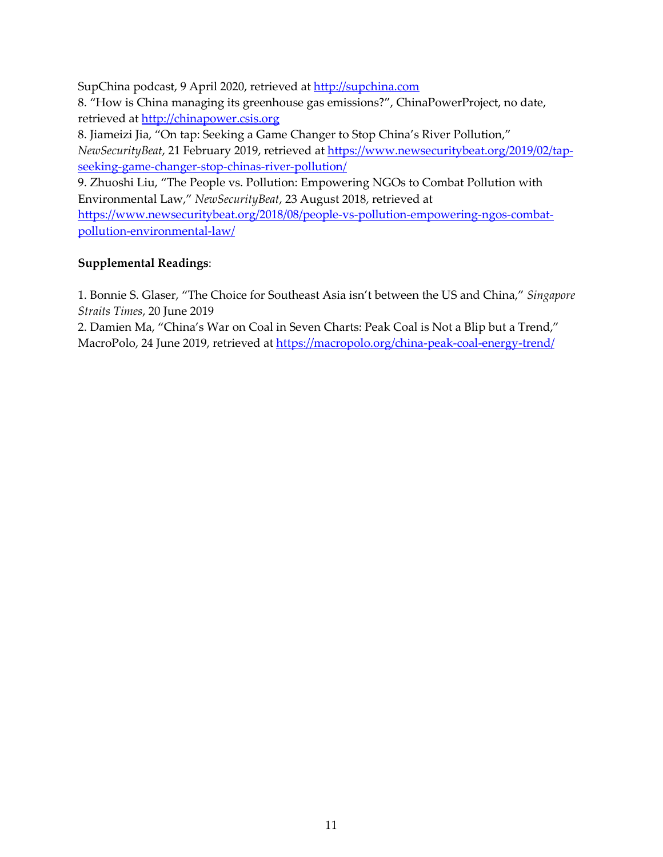SupChina podcast, 9 April 2020, retrieved at [http://supchina.com](http://supchina.com/)  8. "How is China managing its greenhouse gas emissions?", ChinaPowerProject, no date, retrieved at [http://chinapower.csis.org](http://chinapower.csis.org/) 8. Jiameizi Jia, "On tap: Seeking a Game Changer to Stop China's River Pollution," *NewSecurityBeat*, 21 February 2019, retrieved at [https://www.newsecuritybeat.org/2019/02/tap](https://www.newsecuritybeat.org/2019/02/tap-seeking-game-changer-stop-chinas-river-pollution/)[seeking-game-changer-stop-chinas-river-pollution/](https://www.newsecuritybeat.org/2019/02/tap-seeking-game-changer-stop-chinas-river-pollution/) 9. Zhuoshi Liu, "The People vs. Pollution: Empowering NGOs to Combat Pollution with Environmental Law," *NewSecurityBeat*, 23 August 2018, retrieved at

[https://www.newsecuritybeat.org/2018/08/people-vs-pollution-empowering-ngos-combat](https://www.newsecuritybeat.org/2018/08/people-vs-pollution-empowering-ngos-combat-pollution-environmental-law/)[pollution-environmental-law/](https://www.newsecuritybeat.org/2018/08/people-vs-pollution-empowering-ngos-combat-pollution-environmental-law/)

### **Supplemental Readings**:

1. Bonnie S. Glaser, "The Choice for Southeast Asia isn't between the US and China," *Singapore Straits Times*, 20 June 2019

2. Damien Ma, "China's War on Coal in Seven Charts: Peak Coal is Not a Blip but a Trend," MacroPolo, 24 June 2019, retrieved at<https://macropolo.org/china-peak-coal-energy-trend/>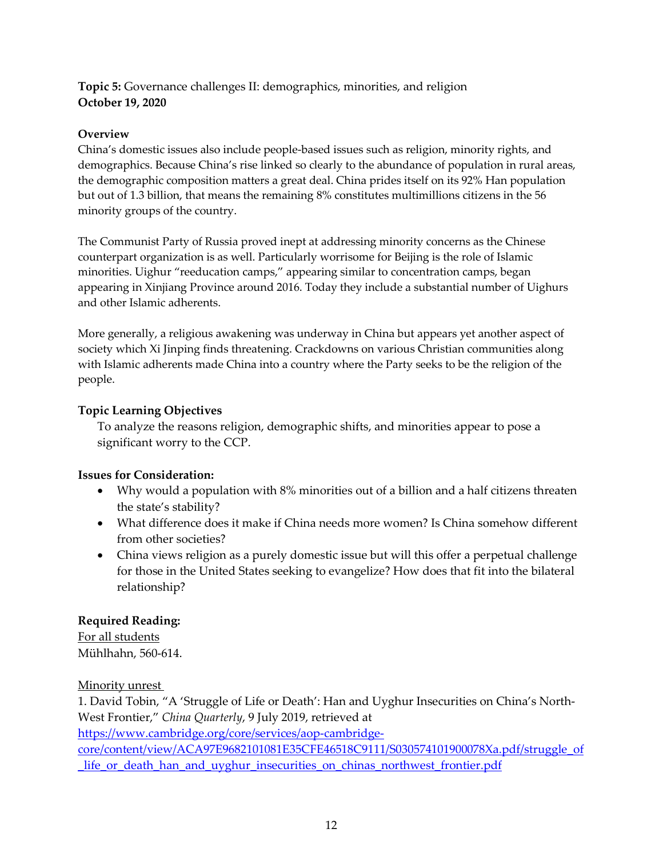#### **Topic 5:** Governance challenges II: demographics, minorities, and religion **October 19, 2020**

### **Overview**

China's domestic issues also include people-based issues such as religion, minority rights, and demographics. Because China's rise linked so clearly to the abundance of population in rural areas, the demographic composition matters a great deal. China prides itself on its 92% Han population but out of 1.3 billion, that means the remaining 8% constitutes multimillions citizens in the 56 minority groups of the country.

The Communist Party of Russia proved inept at addressing minority concerns as the Chinese counterpart organization is as well. Particularly worrisome for Beijing is the role of Islamic minorities. Uighur "reeducation camps," appearing similar to concentration camps, began appearing in Xinjiang Province around 2016. Today they include a substantial number of Uighurs and other Islamic adherents.

More generally, a religious awakening was underway in China but appears yet another aspect of society which Xi Jinping finds threatening. Crackdowns on various Christian communities along with Islamic adherents made China into a country where the Party seeks to be the religion of the people.

### **Topic Learning Objectives**

To analyze the reasons religion, demographic shifts, and minorities appear to pose a significant worry to the CCP.

## **Issues for Consideration:**

- Why would a population with 8% minorities out of a billion and a half citizens threaten the state's stability?
- What difference does it make if China needs more women? Is China somehow different from other societies?
- China views religion as a purely domestic issue but will this offer a perpetual challenge for those in the United States seeking to evangelize? How does that fit into the bilateral relationship?

## **Required Reading:**

For all students Mühlhahn, 560-614.

Minority unrest

1. David Tobin, "A 'Struggle of Life or Death': Han and Uyghur Insecurities on China's North-West Frontier," *China Quarterly*, 9 July 2019, retrieved at

[https://www.cambridge.org/core/services/aop-cambridge-](https://www.cambridge.org/core/services/aop-cambridge-core/content/view/ACA97E9682101081E35CFE46518C9111/S030574101900078Xa.pdf/struggle_of_life_or_death_han_and_uyghur_insecurities_on_chinas_northwest_frontier.pdf2)

[core/content/view/ACA97E9682101081E35CFE46518C9111/S030574101900078Xa.pdf/struggle\\_of](https://www.cambridge.org/core/services/aop-cambridge-core/content/view/ACA97E9682101081E35CFE46518C9111/S030574101900078Xa.pdf/struggle_of_life_or_death_han_and_uyghur_insecurities_on_chinas_northwest_frontier.pdf2) life or death han and uyghur insecurities on chinas northwest frontier.pdf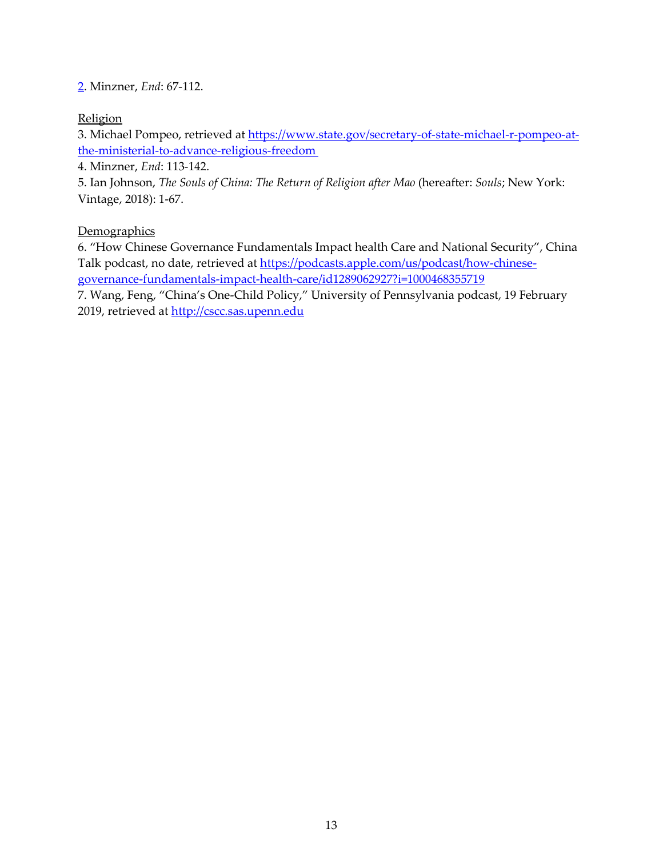#### [2.](https://www.cambridge.org/core/services/aop-cambridge-core/content/view/ACA97E9682101081E35CFE46518C9111/S030574101900078Xa.pdf/struggle_of_life_or_death_han_and_uyghur_insecurities_on_chinas_northwest_frontier.pdf2) Minzner, *End*: 67-112.

### **Religion**

3. Michael Pompeo, retrieved at [https://www.state.gov/secretary-of-state-michael-r-pompeo-at](https://www.state.gov/secretary-of-state-michael-r-pompeo-at-the-ministerial-to-advance-religious-freedom)[the-ministerial-to-advance-religious-freedom](https://www.state.gov/secretary-of-state-michael-r-pompeo-at-the-ministerial-to-advance-religious-freedom)

4. Minzner, *End*: 113-142.

5. Ian Johnson, *The Souls of China: The Return of Religion after Mao* (hereafter: *Souls*; New York: Vintage, 2018): 1-67.

### **Demographics**

6. "How Chinese Governance Fundamentals Impact health Care and National Security", China Talk podcast, no date, retrieved at [https://podcasts.apple.com/us/podcast/how-chinese](https://podcasts.apple.com/us/podcast/how-chinese-governance-fundamentals-impact-health-care/id1289062927?i=1000468355719)[governance-fundamentals-impact-health-care/id1289062927?i=1000468355719](https://podcasts.apple.com/us/podcast/how-chinese-governance-fundamentals-impact-health-care/id1289062927?i=1000468355719)

7. Wang, Feng, "China's One-Child Policy," University of Pennsylvania podcast, 19 February 2019, retrieved at [http://cscc.sas.upenn.edu](http://cscc.sas.upenn.edu/)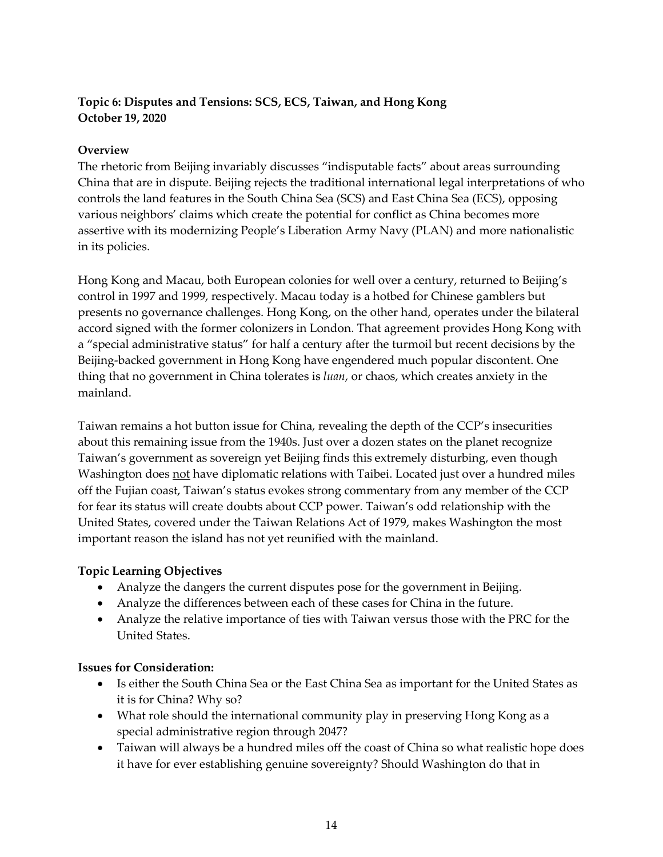#### **Topic 6: Disputes and Tensions: SCS, ECS, Taiwan, and Hong Kong October 19, 2020**

#### **Overview**

The rhetoric from Beijing invariably discusses "indisputable facts" about areas surrounding China that are in dispute. Beijing rejects the traditional international legal interpretations of who controls the land features in the South China Sea (SCS) and East China Sea (ECS), opposing various neighbors' claims which create the potential for conflict as China becomes more assertive with its modernizing People's Liberation Army Navy (PLAN) and more nationalistic in its policies.

Hong Kong and Macau, both European colonies for well over a century, returned to Beijing's control in 1997 and 1999, respectively. Macau today is a hotbed for Chinese gamblers but presents no governance challenges. Hong Kong, on the other hand, operates under the bilateral accord signed with the former colonizers in London. That agreement provides Hong Kong with a "special administrative status" for half a century after the turmoil but recent decisions by the Beijing-backed government in Hong Kong have engendered much popular discontent. One thing that no government in China tolerates is *luan*, or chaos, which creates anxiety in the mainland.

Taiwan remains a hot button issue for China, revealing the depth of the CCP's insecurities about this remaining issue from the 1940s. Just over a dozen states on the planet recognize Taiwan's government as sovereign yet Beijing finds this extremely disturbing, even though Washington does not have diplomatic relations with Taibei. Located just over a hundred miles off the Fujian coast, Taiwan's status evokes strong commentary from any member of the CCP for fear its status will create doubts about CCP power. Taiwan's odd relationship with the United States, covered under the Taiwan Relations Act of 1979, makes Washington the most important reason the island has not yet reunified with the mainland.

#### **Topic Learning Objectives**

- Analyze the dangers the current disputes pose for the government in Beijing.
- Analyze the differences between each of these cases for China in the future.
- Analyze the relative importance of ties with Taiwan versus those with the PRC for the United States.

#### **Issues for Consideration:**

- Is either the South China Sea or the East China Sea as important for the United States as it is for China? Why so?
- What role should the international community play in preserving Hong Kong as a special administrative region through 2047?
- Taiwan will always be a hundred miles off the coast of China so what realistic hope does it have for ever establishing genuine sovereignty? Should Washington do that in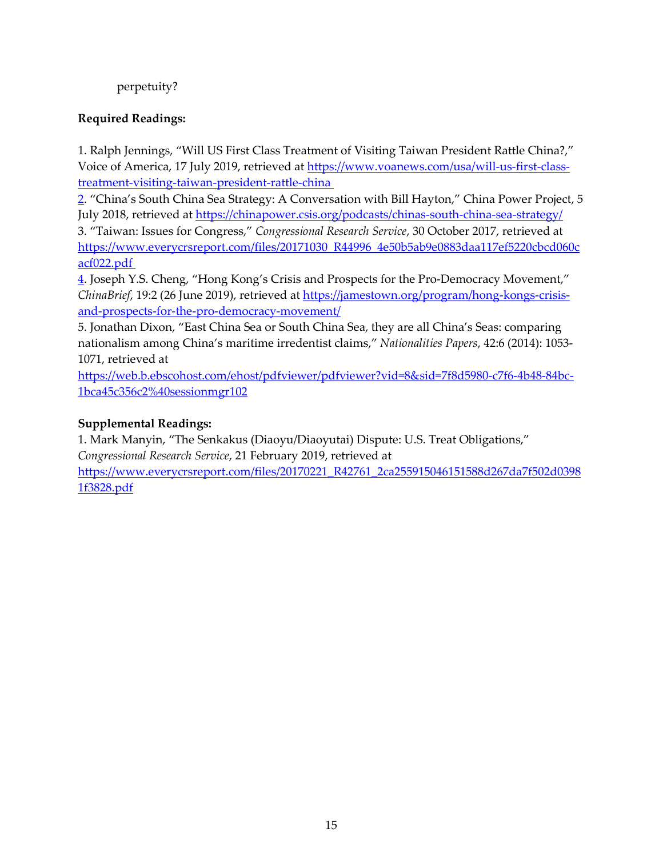### perpetuity?

#### **Required Readings:**

1. Ralph Jennings, "Will US First Class Treatment of Visiting Taiwan President Rattle China?," Voice of America, 17 July 2019, retrieved at [https://www.voanews.com/usa/will-us-first-class](https://www.voanews.com/usa/will-us-first-class-treatment-visiting-taiwan-president-rattle-china%202)[treatment-visiting-taiwan-president-rattle-china](https://www.voanews.com/usa/will-us-first-class-treatment-visiting-taiwan-president-rattle-china%202) 

[2.](https://www.voanews.com/usa/will-us-first-class-treatment-visiting-taiwan-president-rattle-china%202) "China's South China Sea Strategy: A Conversation with Bill Hayton," China Power Project, 5 July 2018, retrieved a[t https://chinapower.csis.org/podcasts/chinas-south-china-sea-strategy/](https://chinapower.csis.org/podcasts/chinas-south-china-sea-strategy/)

3. "Taiwan: Issues for Congress," *Congressional Research Service*, 30 October 2017, retrieved at [https://www.everycrsreport.com/files/20171030\\_R44996\\_4e50b5ab9e0883daa117ef5220cbcd060c](https://www.everycrsreport.com/files/20171030_R44996_4e50b5ab9e0883daa117ef5220cbcd060cacf022.pdf%204) [acf022.pdf](https://www.everycrsreport.com/files/20171030_R44996_4e50b5ab9e0883daa117ef5220cbcd060cacf022.pdf%204) 

[4.](https://www.everycrsreport.com/files/20171030_R44996_4e50b5ab9e0883daa117ef5220cbcd060cacf022.pdf%204) Joseph Y.S. Cheng, "Hong Kong's Crisis and Prospects for the Pro-Democracy Movement," *ChinaBrief*, 19:2 (26 June 2019), retrieved at [https://jamestown.org/program/hong-kongs-crisis](https://jamestown.org/program/hong-kongs-crisis-and-prospects-for-the-pro-democracy-movement/)[and-prospects-for-the-pro-democracy-movement/](https://jamestown.org/program/hong-kongs-crisis-and-prospects-for-the-pro-democracy-movement/)

5. Jonathan Dixon, "East China Sea or South China Sea, they are all China's Seas: comparing nationalism among China's maritime irredentist claims," *Nationalities Papers*, 42:6 (2014): 1053- 1071, retrieved at

[https://web.b.ebscohost.com/ehost/pdfviewer/pdfviewer?vid=8&sid=7f8d5980-c7f6-4b48-84bc-](https://web.b.ebscohost.com/ehost/pdfviewer/pdfviewer?vid=8&sid=7f8d5980-c7f6-4b48-84bc-1bca45c356c2%40sessionmgr102)[1bca45c356c2%40sessionmgr102](https://web.b.ebscohost.com/ehost/pdfviewer/pdfviewer?vid=8&sid=7f8d5980-c7f6-4b48-84bc-1bca45c356c2%40sessionmgr102) 

#### **Supplemental Readings:**

1. Mark Manyin, "The Senkakus (Diaoyu/Diaoyutai) Dispute: U.S. Treat Obligations," *Congressional Research Service*, 21 February 2019, retrieved at [https://www.everycrsreport.com/files/20170221\\_R42761\\_2ca255915046151588d267da7f502d0398](https://www.everycrsreport.com/files/20170221_R42761_2ca255915046151588d267da7f502d03981f3828.pdf) [1f3828.pdf](https://www.everycrsreport.com/files/20170221_R42761_2ca255915046151588d267da7f502d03981f3828.pdf)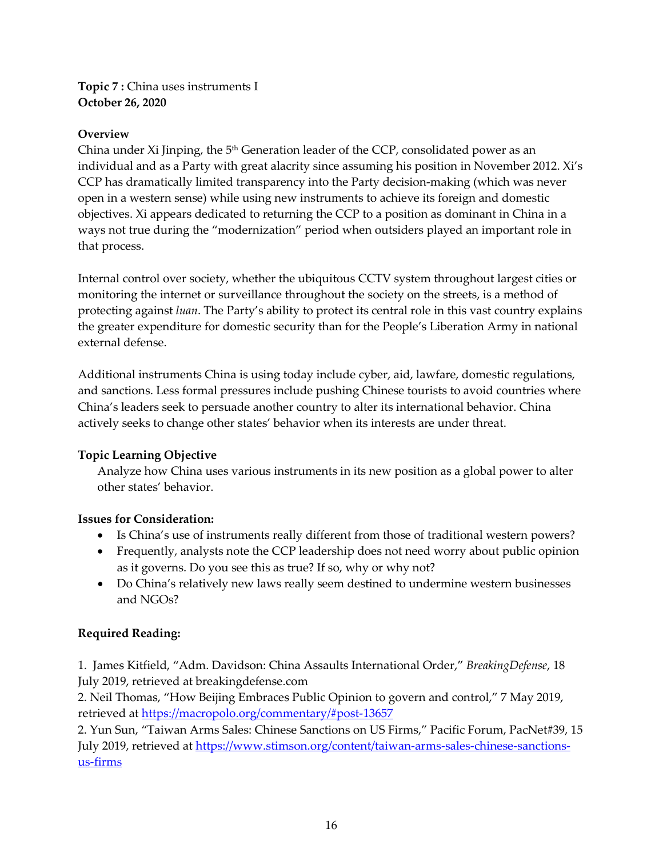**Topic 7 :** China uses instruments I **October 26, 2020**

#### **Overview**

China under Xi Jinping, the  $5<sup>th</sup>$  Generation leader of the CCP, consolidated power as an individual and as a Party with great alacrity since assuming his position in November 2012. Xi's CCP has dramatically limited transparency into the Party decision-making (which was never open in a western sense) while using new instruments to achieve its foreign and domestic objectives. Xi appears dedicated to returning the CCP to a position as dominant in China in a ways not true during the "modernization" period when outsiders played an important role in that process.

Internal control over society, whether the ubiquitous CCTV system throughout largest cities or monitoring the internet or surveillance throughout the society on the streets, is a method of protecting against *luan*. The Party's ability to protect its central role in this vast country explains the greater expenditure for domestic security than for the People's Liberation Army in national external defense.

Additional instruments China is using today include cyber, aid, lawfare, domestic regulations, and sanctions. Less formal pressures include pushing Chinese tourists to avoid countries where China's leaders seek to persuade another country to alter its international behavior. China actively seeks to change other states' behavior when its interests are under threat.

#### **Topic Learning Objective**

Analyze how China uses various instruments in its new position as a global power to alter other states' behavior.

#### **Issues for Consideration:**

- Is China's use of instruments really different from those of traditional western powers?
- Frequently, analysts note the CCP leadership does not need worry about public opinion as it governs. Do you see this as true? If so, why or why not?
- Do China's relatively new laws really seem destined to undermine western businesses and NGOs?

## **Required Reading:**

1. James Kitfield, "Adm. Davidson: China Assaults International Order," *BreakingDefense*, 18 July 2019, retrieved at breakingdefense.com

2. Neil Thomas, "How Beijing Embraces Public Opinion to govern and control," 7 May 2019, retrieved at<https://macropolo.org/commentary/#post-13657>

2. Yun Sun, "Taiwan Arms Sales: Chinese Sanctions on US Firms," Pacific Forum, PacNet#39, 15 July 2019, retrieved a[t https://www.stimson.org/content/taiwan-arms-sales-chinese-sanctions](https://www.stimson.org/content/taiwan-arms-sales-chinese-sanctions-us-firms)[us-firms](https://www.stimson.org/content/taiwan-arms-sales-chinese-sanctions-us-firms)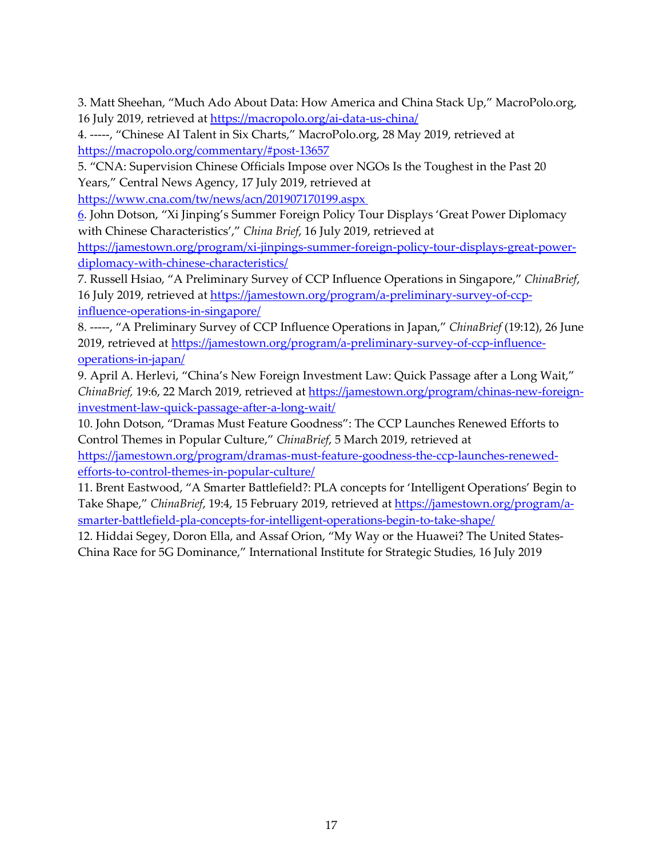3. Matt Sheehan, "Much Ado About Data: How America and China Stack Up," MacroPolo.org, 16 July 2019, retrieved at<https://macropolo.org/ai-data-us-china/>

4. -----, "Chinese AI Talent in Six Charts," MacroPolo.org, 28 May 2019, retrieved at <https://macropolo.org/commentary/#post-13657>

5. "CNA: Supervision Chinese Officials Impose over NGOs Is the Toughest in the Past 20 Years," Central News Agency, 17 July 2019, retrieved at

[https://www.cna.com/tw/news/acn/201907170199.aspx](https://www.cna.com/tw/news/acn/201907170199.aspx%206) 

[6.](https://www.cna.com/tw/news/acn/201907170199.aspx%206) John Dotson, "Xi Jinping's Summer Foreign Policy Tour Displays 'Great Power Diplomacy with Chinese Characteristics'," *China Brief*, 16 July 2019, retrieved at

[https://jamestown.org/program/xi-jinpings-summer-foreign-policy-tour-displays-great-power](https://jamestown.org/program/xi-jinpings-summer-foreign-policy-tour-displays-great-power-diplomacy-with-chinese-characteristics/)[diplomacy-with-chinese-characteristics/](https://jamestown.org/program/xi-jinpings-summer-foreign-policy-tour-displays-great-power-diplomacy-with-chinese-characteristics/)

7. Russell Hsiao, "A Preliminary Survey of CCP Influence Operations in Singapore," *ChinaBrief*, 16 July 2019, retrieved at [https://jamestown.org/program/a-preliminary-survey-of-ccp](https://jamestown.org/program/a-preliminary-survey-of-ccp-influence-operations-in-singapore/)[influence-operations-in-singapore/](https://jamestown.org/program/a-preliminary-survey-of-ccp-influence-operations-in-singapore/)

8. -----, "A Preliminary Survey of CCP Influence Operations in Japan," *ChinaBrief* (19:12), 26 June 2019, retrieved at [https://jamestown.org/program/a-preliminary-survey-of-ccp-influence](https://jamestown.org/program/a-preliminary-survey-of-ccp-influence-operations-in-japan/)[operations-in-japan/](https://jamestown.org/program/a-preliminary-survey-of-ccp-influence-operations-in-japan/)

9. April A. Herlevi, "China's New Foreign Investment Law: Quick Passage after a Long Wait," *ChinaBrief,* 19:6, 22 March 2019, retrieved at [https://jamestown.org/program/chinas-new-foreign](https://jamestown.org/program/chinas-new-foreign-investment-law-quick-passage-after-a-long-wait/)[investment-law-quick-passage-after-a-long-wait/](https://jamestown.org/program/chinas-new-foreign-investment-law-quick-passage-after-a-long-wait/)

10. John Dotson, "Dramas Must Feature Goodness": The CCP Launches Renewed Efforts to Control Themes in Popular Culture," *ChinaBrief*, 5 March 2019, retrieved at

[https://jamestown.org/program/dramas-must-feature-goodness-the-ccp-launches-renewed](https://jamestown.org/program/dramas-must-feature-goodness-the-ccp-launches-renewed-efforts-to-control-themes-in-popular-culture/)[efforts-to-control-themes-in-popular-culture/](https://jamestown.org/program/dramas-must-feature-goodness-the-ccp-launches-renewed-efforts-to-control-themes-in-popular-culture/)

11. Brent Eastwood, "A Smarter Battlefield?: PLA concepts for 'Intelligent Operations' Begin to Take Shape," *ChinaBrief*, 19:4, 15 February 2019, retrieved a[t https://jamestown.org/program/a](https://jamestown.org/program/a-smarter-battlefield-pla-concepts-for-intelligent-operations-begin-to-take-shape/)[smarter-battlefield-pla-concepts-for-intelligent-operations-begin-to-take-shape/](https://jamestown.org/program/a-smarter-battlefield-pla-concepts-for-intelligent-operations-begin-to-take-shape/)

12. Hiddai Segey, Doron Ella, and Assaf Orion, "My Way or the Huawei? The United States-China Race for 5G Dominance," International Institute for Strategic Studies, 16 July 2019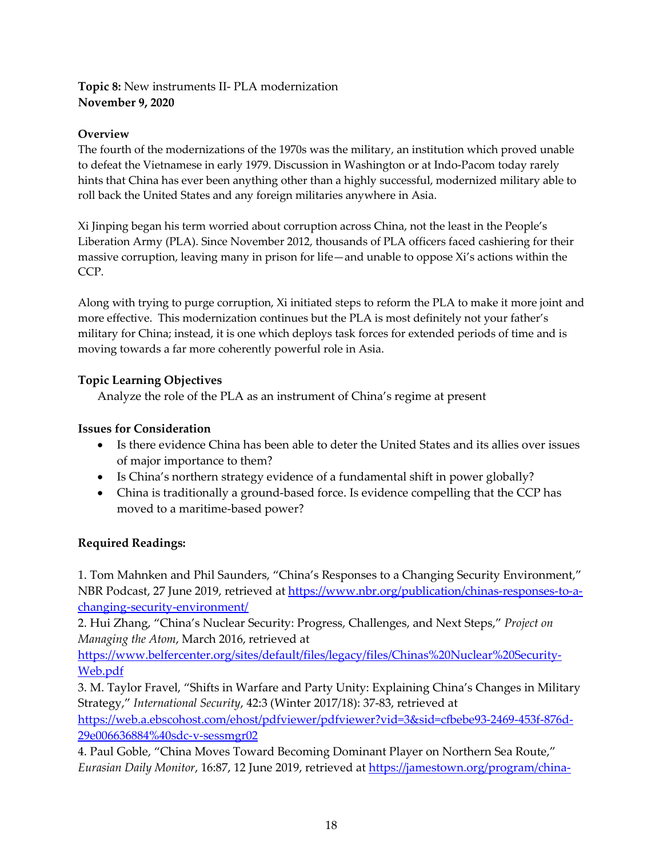#### **Topic 8:** New instruments II- PLA modernization **November 9, 2020**

#### **Overview**

The fourth of the modernizations of the 1970s was the military, an institution which proved unable to defeat the Vietnamese in early 1979. Discussion in Washington or at Indo-Pacom today rarely hints that China has ever been anything other than a highly successful, modernized military able to roll back the United States and any foreign militaries anywhere in Asia.

Xi Jinping began his term worried about corruption across China, not the least in the People's Liberation Army (PLA). Since November 2012, thousands of PLA officers faced cashiering for their massive corruption, leaving many in prison for life—and unable to oppose Xi's actions within the CCP.

Along with trying to purge corruption, Xi initiated steps to reform the PLA to make it more joint and more effective. This modernization continues but the PLA is most definitely not your father's military for China; instead, it is one which deploys task forces for extended periods of time and is moving towards a far more coherently powerful role in Asia.

## **Topic Learning Objectives**

Analyze the role of the PLA as an instrument of China's regime at present

## **Issues for Consideration**

- Is there evidence China has been able to deter the United States and its allies over issues of major importance to them?
- Is China's northern strategy evidence of a fundamental shift in power globally?
- China is traditionally a ground-based force. Is evidence compelling that the CCP has moved to a maritime-based power?

## **Required Readings:**

1. Tom Mahnken and Phil Saunders, "China's Responses to a Changing Security Environment," NBR Podcast, 27 June 2019, retrieved at [https://www.nbr.org/publication/chinas-responses-to-a](https://www.nbr.org/publication/chinas-responses-to-a-changing-security-environment/)[changing-security-environment/](https://www.nbr.org/publication/chinas-responses-to-a-changing-security-environment/) 

2. Hui Zhang, "China's Nuclear Security: Progress, Challenges, and Next Steps," *Project on Managing the Atom*, March 2016, retrieved at

[https://www.belfercenter.org/sites/default/files/legacy/files/Chinas%20Nuclear%20Security-](https://www.belfercenter.org/sites/default/files/legacy/files/Chinas%20Nuclear%20Security-Web.pdf)[Web.pdf](https://www.belfercenter.org/sites/default/files/legacy/files/Chinas%20Nuclear%20Security-Web.pdf)

3. M. Taylor Fravel, "Shifts in Warfare and Party Unity: Explaining China's Changes in Military Strategy," *International Security*, 42:3 (Winter 2017/18): 37-83, retrieved at [https://web.a.ebscohost.com/ehost/pdfviewer/pdfviewer?vid=3&sid=cfbebe93-2469-453f-876d-](https://web.a.ebscohost.com/ehost/pdfviewer/pdfviewer?vid=3&sid=cfbebe93-2469-453f-876d-29e006636884%40sdc-v-sessmgr02)[29e006636884%40sdc-v-sessmgr02](https://web.a.ebscohost.com/ehost/pdfviewer/pdfviewer?vid=3&sid=cfbebe93-2469-453f-876d-29e006636884%40sdc-v-sessmgr02)

4. Paul Goble, "China Moves Toward Becoming Dominant Player on Northern Sea Route," *Eurasian Daily Monitor*, 16:87, 12 June 2019, retrieved a[t https://jamestown.org/program/china-](https://jamestown.org/program/china-moves-toward-becoming-dominant-player-on-northern-sea-route/)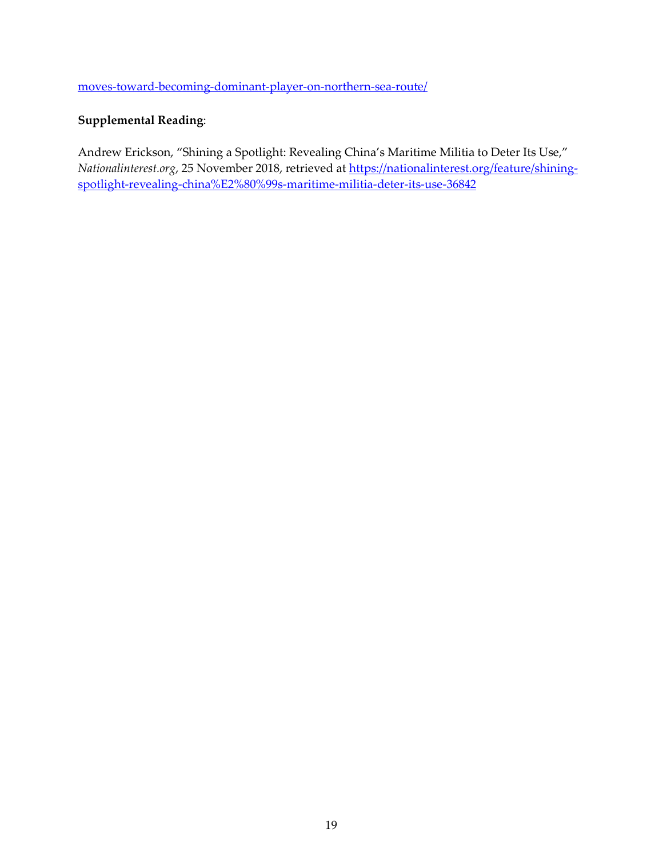[moves-toward-becoming-dominant-player-on-northern-sea-route/](https://jamestown.org/program/china-moves-toward-becoming-dominant-player-on-northern-sea-route/) 

#### **Supplemental Reading**:

Andrew Erickson, "Shining a Spotlight: Revealing China's Maritime Militia to Deter Its Use," *Nationalinterest.org*, 25 November 2018, retrieved at [https://nationalinterest.org/feature/shining](https://nationalinterest.org/feature/shining-spotlight-revealing-china%E2%80%99s-maritime-militia-deter-its-use-36842)[spotlight-revealing-china%E2%80%99s-maritime-militia-deter-its-use-36842](https://nationalinterest.org/feature/shining-spotlight-revealing-china%E2%80%99s-maritime-militia-deter-its-use-36842)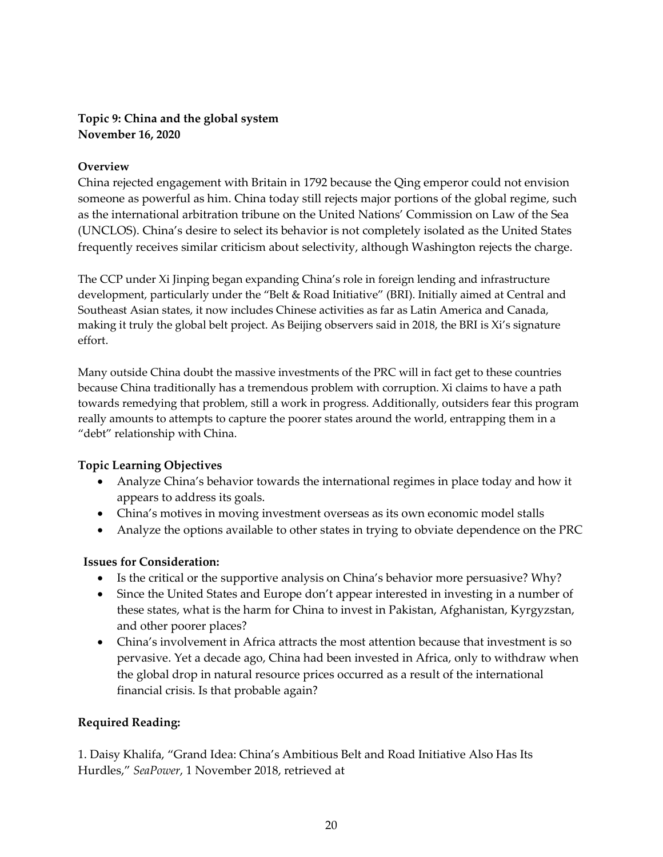#### **Topic 9: China and the global system November 16, 2020**

#### **Overview**

China rejected engagement with Britain in 1792 because the Qing emperor could not envision someone as powerful as him. China today still rejects major portions of the global regime, such as the international arbitration tribune on the United Nations' Commission on Law of the Sea (UNCLOS). China's desire to select its behavior is not completely isolated as the United States frequently receives similar criticism about selectivity, although Washington rejects the charge.

The CCP under Xi Jinping began expanding China's role in foreign lending and infrastructure development, particularly under the "Belt & Road Initiative" (BRI). Initially aimed at Central and Southeast Asian states, it now includes Chinese activities as far as Latin America and Canada, making it truly the global belt project. As Beijing observers said in 2018, the BRI is Xi's signature effort.

Many outside China doubt the massive investments of the PRC will in fact get to these countries because China traditionally has a tremendous problem with corruption. Xi claims to have a path towards remedying that problem, still a work in progress. Additionally, outsiders fear this program really amounts to attempts to capture the poorer states around the world, entrapping them in a "debt" relationship with China.

#### **Topic Learning Objectives**

- Analyze China's behavior towards the international regimes in place today and how it appears to address its goals.
- China's motives in moving investment overseas as its own economic model stalls
- Analyze the options available to other states in trying to obviate dependence on the PRC

#### **Issues for Consideration:**

- Is the critical or the supportive analysis on China's behavior more persuasive? Why?
- Since the United States and Europe don't appear interested in investing in a number of these states, what is the harm for China to invest in Pakistan, Afghanistan, Kyrgyzstan, and other poorer places?
- China's involvement in Africa attracts the most attention because that investment is so pervasive. Yet a decade ago, China had been invested in Africa, only to withdraw when the global drop in natural resource prices occurred as a result of the international financial crisis. Is that probable again?

#### **Required Reading:**

1. Daisy Khalifa, "Grand Idea: China's Ambitious Belt and Road Initiative Also Has Its Hurdles," *SeaPower*, 1 November 2018, retrieved at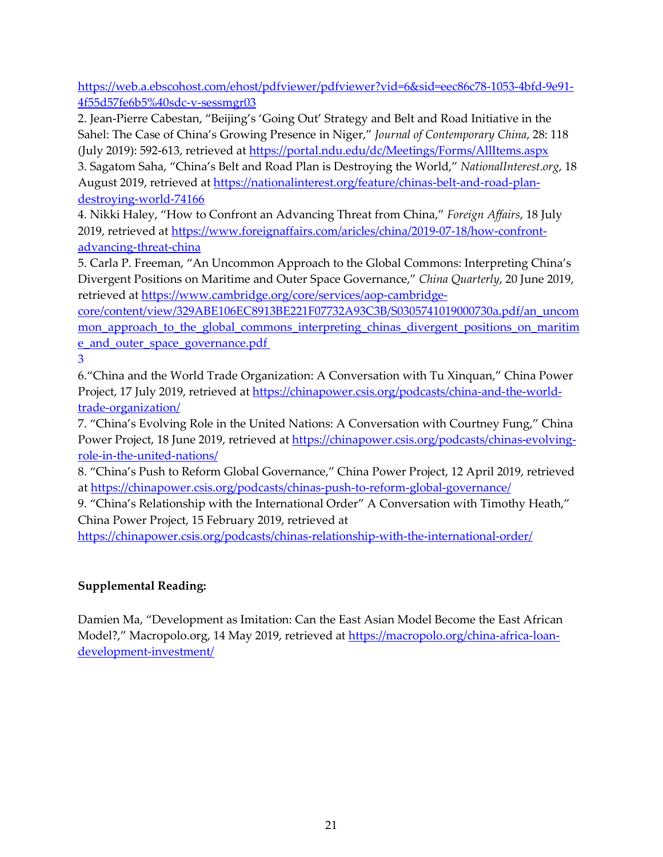[https://web.a.ebscohost.com/ehost/pdfviewer/pdfviewer?vid=6&sid=eec86c78-1053-4bfd-9e91-](https://web.a.ebscohost.com/ehost/pdfviewer/pdfviewer?vid=6&sid=eec86c78-1053-4bfd-9e91-4f55d57fe6b5%40sdc-v-sessmgr03) [4f55d57fe6b5%40sdc-v-sessmgr03](https://web.a.ebscohost.com/ehost/pdfviewer/pdfviewer?vid=6&sid=eec86c78-1053-4bfd-9e91-4f55d57fe6b5%40sdc-v-sessmgr03)

2. Jean-Pierre Cabestan, "Beijing's 'Going Out' Strategy and Belt and Road Initiative in the Sahel: The Case of China's Growing Presence in Niger," *Journal of Contemporary China*, 28: 118 (July 2019): 592-613, retrieved at <https://portal.ndu.edu/dc/Meetings/Forms/AllItems.aspx>

3. Sagatom Saha, "China's Belt and Road Plan is Destroying the World," *NationalInterest.org*, 18 August 2019, retrieved at [https://nationalinterest.org/feature/chinas-belt-and-road-plan](https://nationalinterest.org/feature/chinas-belt-and-road-plan-destroying-world-74166)[destroying-world-74166](https://nationalinterest.org/feature/chinas-belt-and-road-plan-destroying-world-74166)

4. Nikki Haley, "How to Confront an Advancing Threat from China," *Foreign Affairs*, 18 July 2019, retrieved at [https://www.foreignaffairs.com/aricles/china/2019-07-18/how-confront](https://www.foreignaffairs.com/aricles/china/2019-07-18/how-confront-advancing-threat-china)[advancing-threat-china](https://www.foreignaffairs.com/aricles/china/2019-07-18/how-confront-advancing-threat-china) 

5. Carla P. Freeman, "An Uncommon Approach to the Global Commons: Interpreting China's Divergent Positions on Maritime and Outer Space Governance," *China Quarterly*, 20 June 2019, retrieved at [https://www.cambridge.org/core/services/aop-cambridge-](https://www.cambridge.org/core/services/aop-cambridge-core/content/view/329ABE106EC8913BE221F07732A93C3B/S0305741019000730a.pdf/an_uncommon_approach_to_the_global_commons_interpreting_chinas_divergent_positions_on_maritime_and_outer_space_governance.pdf%203)

[core/content/view/329ABE106EC8913BE221F07732A93C3B/S0305741019000730a.pdf/an\\_uncom](https://www.cambridge.org/core/services/aop-cambridge-core/content/view/329ABE106EC8913BE221F07732A93C3B/S0305741019000730a.pdf/an_uncommon_approach_to_the_global_commons_interpreting_chinas_divergent_positions_on_maritime_and_outer_space_governance.pdf%203) mon approach to the global commons interpreting chinas divergent positions on maritim [e\\_and\\_outer\\_space\\_governance.pdf](https://www.cambridge.org/core/services/aop-cambridge-core/content/view/329ABE106EC8913BE221F07732A93C3B/S0305741019000730a.pdf/an_uncommon_approach_to_the_global_commons_interpreting_chinas_divergent_positions_on_maritime_and_outer_space_governance.pdf%203) 

[3](https://www.cambridge.org/core/services/aop-cambridge-core/content/view/329ABE106EC8913BE221F07732A93C3B/S0305741019000730a.pdf/an_uncommon_approach_to_the_global_commons_interpreting_chinas_divergent_positions_on_maritime_and_outer_space_governance.pdf%203)

6."China and the World Trade Organization: A Conversation with Tu Xinquan," China Power Project, 17 July 2019, retrieved at [https://chinapower.csis.org/podcasts/china-and-the-world](https://chinapower.csis.org/podcasts/china-and-the-world-trade-organization/)[trade-organization/](https://chinapower.csis.org/podcasts/china-and-the-world-trade-organization/)

7. "China's Evolving Role in the United Nations: A Conversation with Courtney Fung," China Power Project, 18 June 2019, retrieved at [https://chinapower.csis.org/podcasts/chinas-evolving](https://chinapower.csis.org/podcasts/chinas-evolving-role-in-the-united-nations/)[role-in-the-united-nations/](https://chinapower.csis.org/podcasts/chinas-evolving-role-in-the-united-nations/)

8. "China's Push to Reform Global Governance," China Power Project, 12 April 2019, retrieved at<https://chinapower.csis.org/podcasts/chinas-push-to-reform-global-governance/>

9. "China's Relationship with the International Order" A Conversation with Timothy Heath," China Power Project, 15 February 2019, retrieved at

<https://chinapower.csis.org/podcasts/chinas-relationship-with-the-international-order/>

## **Supplemental Reading:**

Damien Ma, "Development as Imitation: Can the East Asian Model Become the East African Model?," Macropolo.org, 14 May 2019, retrieved at [https://macropolo.org/china-africa-loan](https://macropolo.org/china-africa-loan-development-investment/)[development-investment/](https://macropolo.org/china-africa-loan-development-investment/)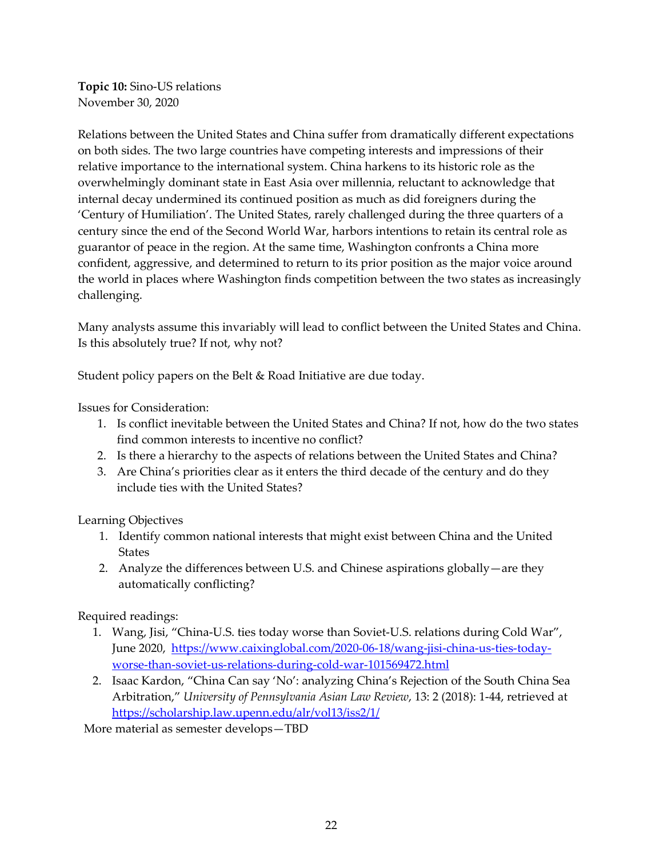**Topic 10:** Sino-US relations November 30, 2020

Relations between the United States and China suffer from dramatically different expectations on both sides. The two large countries have competing interests and impressions of their relative importance to the international system. China harkens to its historic role as the overwhelmingly dominant state in East Asia over millennia, reluctant to acknowledge that internal decay undermined its continued position as much as did foreigners during the 'Century of Humiliation'. The United States, rarely challenged during the three quarters of a century since the end of the Second World War, harbors intentions to retain its central role as guarantor of peace in the region. At the same time, Washington confronts a China more confident, aggressive, and determined to return to its prior position as the major voice around the world in places where Washington finds competition between the two states as increasingly challenging.

Many analysts assume this invariably will lead to conflict between the United States and China. Is this absolutely true? If not, why not?

Student policy papers on the Belt & Road Initiative are due today.

Issues for Consideration:

- 1. Is conflict inevitable between the United States and China? If not, how do the two states find common interests to incentive no conflict?
- 2. Is there a hierarchy to the aspects of relations between the United States and China?
- 3. Are China's priorities clear as it enters the third decade of the century and do they include ties with the United States?

Learning Objectives

- 1. Identify common national interests that might exist between China and the United **States**
- 2. Analyze the differences between U.S. and Chinese aspirations globally—are they automatically conflicting?

Required readings:

- 1. Wang, Jisi, "China-U.S. ties today worse than Soviet-U.S. relations during Cold War", June 2020, [https://www.caixinglobal.com/2020-06-18/wang-jisi-china-us-ties-today](https://www.caixinglobal.com/2020-06-18/wang-jisi-china-us-ties-today-worse-than-soviet-us-relations-during-cold-war-101569472.html)[worse-than-soviet-us-relations-during-cold-war-101569472.html](https://www.caixinglobal.com/2020-06-18/wang-jisi-china-us-ties-today-worse-than-soviet-us-relations-during-cold-war-101569472.html)
- 2. Isaac Kardon, "China Can say 'No': analyzing China's Rejection of the South China Sea Arbitration," *University of Pennsylvania Asian Law Review*, 13: 2 (2018): 1-44, retrieved at <https://scholarship.law.upenn.edu/alr/vol13/iss2/1/>

More material as semester develops—TBD